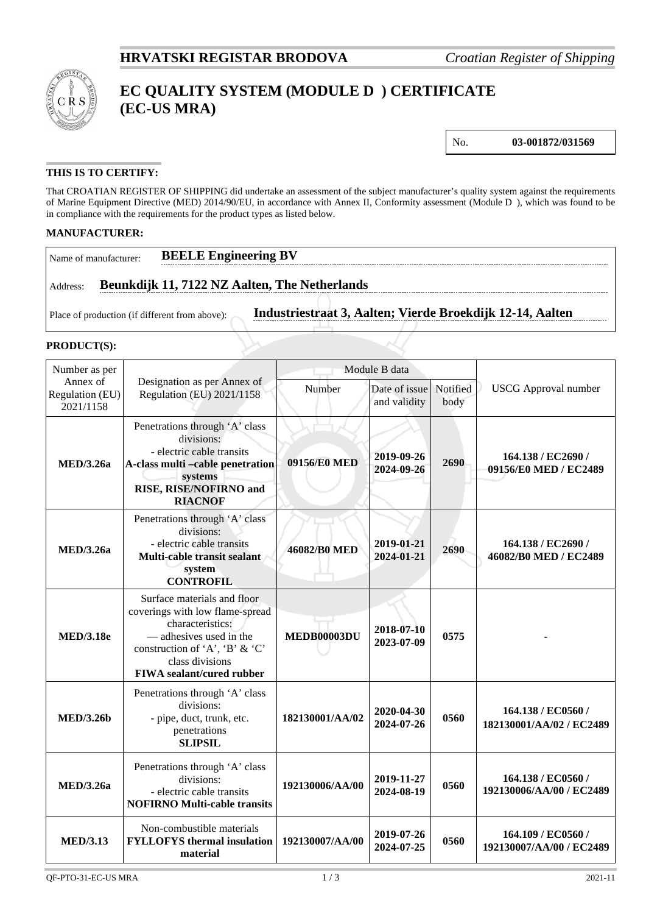

# **EC QUALITY SYSTEM (MODULE D ) CERTIFICATE (EC-US MRA)**

No. **03-001872/031569**

### **THIS IS TO CERTIFY:**

That CROATIAN REGISTER OF SHIPPING did undertake an assessment of the subject manufacturer's quality system against the requirements of Marine Equipment Directive (MED) 2014/90/EU, in accordance with Annex II, Conformity assessment (Module D ), which was found to be in compliance with the requirements for the product types as listed below.

#### **MANUFACTURER:**

| I Name of manufacturer | <b>BEELE Engineering BV</b>                   |
|------------------------|-----------------------------------------------|
| Address:               | Beunkdijk 11, 7122 NZ Aalten, The Netherlands |

Place of production (if different from above): **Industriestraat 3, Aalten; Vierde Broekdijk 12-14, Aalten**

#### **PRODUCT(S):**

| Number as per                            |                                                                                                                                                                                                        | Module B data      |                               |                  |                                                |
|------------------------------------------|--------------------------------------------------------------------------------------------------------------------------------------------------------------------------------------------------------|--------------------|-------------------------------|------------------|------------------------------------------------|
| Annex of<br>Regulation (EU)<br>2021/1158 | Designation as per Annex of<br>Regulation (EU) 2021/1158                                                                                                                                               | Number             | Date of issue<br>and validity | Notified<br>body | <b>USCG</b> Approval number                    |
| <b>MED</b> /3.26a                        | Penetrations through 'A' class<br>divisions:<br>- electric cable transits<br>A-class multi-cable penetration<br>systems<br>RISE, RISE/NOFIRNO and<br><b>RIACNOF</b>                                    | 09156/E0 MED       | 2019-09-26<br>2024-09-26      | 2690             | 164.138 / EC2690 /<br>09156/E0 MED / EC2489    |
| <b>MED/3.26a</b>                         | Penetrations through 'A' class<br>divisions:<br>- electric cable transits<br>Multi-cable transit sealant<br>system<br><b>CONTROFIL</b>                                                                 | 46082/B0 MED       | 2019-01-21<br>2024-01-21      | 2690             | 164.138 / EC2690 /<br>46082/B0 MED / EC2489    |
| <b>MED/3.18e</b>                         | Surface materials and floor<br>coverings with low flame-spread<br>characteristics:<br>— adhesives used in the<br>construction of 'A', 'B' & 'C'<br>class divisions<br><b>FIWA</b> sealant/cured rubber | <b>MEDB00003DU</b> | 2018-07-10<br>2023-07-09      | 0575             |                                                |
| <b>MED/3.26b</b>                         | Penetrations through 'A' class<br>divisions:<br>- pipe, duct, trunk, etc.<br>penetrations<br><b>SLIPSIL</b>                                                                                            | 182130001/AA/02    | 2020-04-30<br>2024-07-26      | 0560             | 164.138 / EC0560 /<br>182130001/AA/02 / EC2489 |
| <b>MED/3.26a</b>                         | Penetrations through 'A' class<br>divisions:<br>- electric cable transits<br><b>NOFIRNO Multi-cable transits</b>                                                                                       | 192130006/AA/00    | 2019-11-27<br>2024-08-19      | 0560             | 164.138 / EC0560 /<br>192130006/AA/00 / EC2489 |
| <b>MED/3.13</b>                          | Non-combustible materials<br><b>FYLLOFYS</b> thermal insulation<br>material                                                                                                                            | 192130007/AA/00    | 2019-07-26<br>2024-07-25      | 0560             | 164.109 / EC0560 /<br>192130007/AA/00 / EC2489 |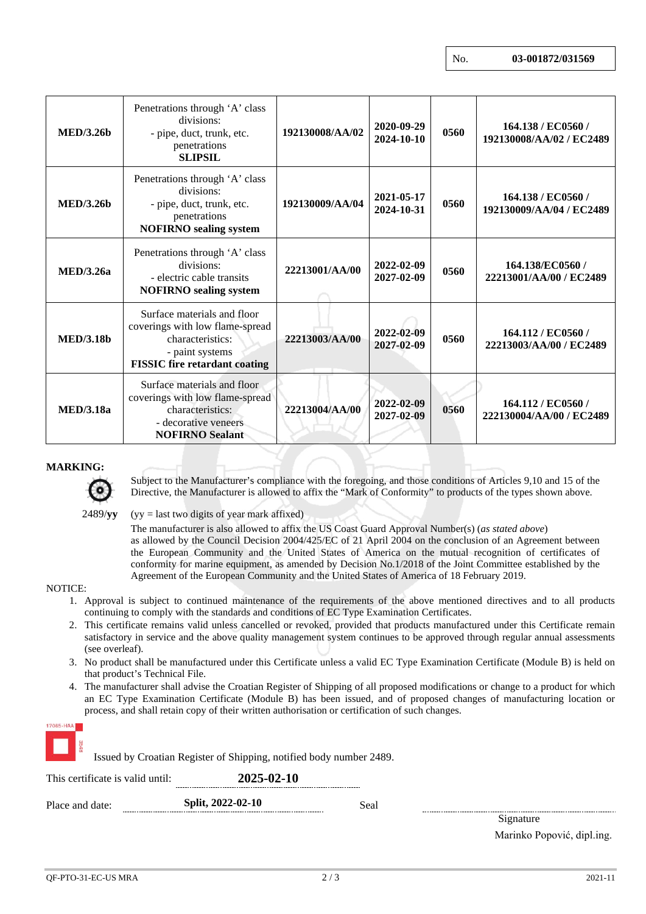| MED/3.26b         | Penetrations through 'A' class<br>divisions:<br>- pipe, duct, trunk, etc.<br>penetrations<br><b>SLIPSIL</b>                                   | 192130008/AA/02 | 2020-09-29<br>2024-10-10 | 0560 | 164.138 / EC0560 /<br>192130008/AA/02 / EC2489 |
|-------------------|-----------------------------------------------------------------------------------------------------------------------------------------------|-----------------|--------------------------|------|------------------------------------------------|
| MED/3.26b         | Penetrations through 'A' class<br>divisions:<br>- pipe, duct, trunk, etc.<br>penetrations<br><b>NOFIRNO</b> sealing system                    | 192130009/AA/04 | 2021-05-17<br>2024-10-31 | 0560 | 164.138 / EC0560 /<br>192130009/AA/04 / EC2489 |
| <b>MED</b> /3.26a | Penetrations through 'A' class<br>divisions:<br>- electric cable transits<br><b>NOFIRNO</b> sealing system                                    | 22213001/AA/00  | 2022-02-09<br>2027-02-09 | 0560 | 164.138/EC0560/<br>22213001/AA/00 / EC2489     |
| <b>MED/3.18b</b>  | Surface materials and floor<br>coverings with low flame-spread<br>characteristics:<br>- paint systems<br><b>FISSIC</b> fire retardant coating | 22213003/AA/00  | 2022-02-09<br>2027-02-09 | 0560 | 164.112 / EC0560 /<br>22213003/AA/00 / EC2489  |
| <b>MED</b> /3.18a | Surface materials and floor<br>coverings with low flame-spread<br>characteristics:<br>- decorative veneers<br><b>NOFIRNO Sealant</b>          | 22213004/AA/00  | 2022-02-09<br>2027-02-09 | 0560 | 164.112 / EC0560 /<br>222130004/AA/00 / EC2489 |

#### **MARKING:**



Subject to the Manufacturer's compliance with the foregoing, and those conditions of Articles 9,10 and 15 of the Directive, the Manufacturer is allowed to affix the "Mark of Conformity" to products of the types shown above.

2489/**yy** (yy = last two digits of year mark affixed)

The manufacturer is also allowed to affix the US Coast Guard Approval Number(s) (*as stated above*) as allowed by the Council Decision 2004/425/EC of 21 April 2004 on the conclusion of an Agreement between the European Community and the United States of America on the mutual recognition of certificates of conformity for marine equipment, as amended by Decision No.1/2018 of the Joint Committee established by the Agreement of the European Community and the United States of America of 18 February 2019.

#### NOTICE:

- 1. Approval is subject to continued maintenance of the requirements of the above mentioned directives and to all products continuing to comply with the standards and conditions of EC Type Examination Certificates.
- 2. This certificate remains valid unless cancelled or revoked, provided that products manufactured under this Certificate remain satisfactory in service and the above quality management system continues to be approved through regular annual assessments (see overleaf).
- 3. No product shall be manufactured under this Certificate unless a valid EC Type Examination Certificate (Module B) is held on that product's Technical File.
- 4. The manufacturer shall advise the Croatian Register of Shipping of all proposed modifications or change to a product for which an EC Type Examination Certificate (Module B) has been issued, and of proposed changes of manufacturing location or process, and shall retain copy of their written authorisation or certification of such changes.

| 17065 HAA                        | Issued by Croatian Register of Shipping, notified body number 2489. |      |                            |
|----------------------------------|---------------------------------------------------------------------|------|----------------------------|
| This certificate is valid until: | 2025-02-10                                                          |      |                            |
| Place and date:                  | Split, 2022-02-10                                                   | Seal |                            |
|                                  |                                                                     |      | Signature                  |
|                                  |                                                                     |      | Marinko Popović, dipl.ing. |